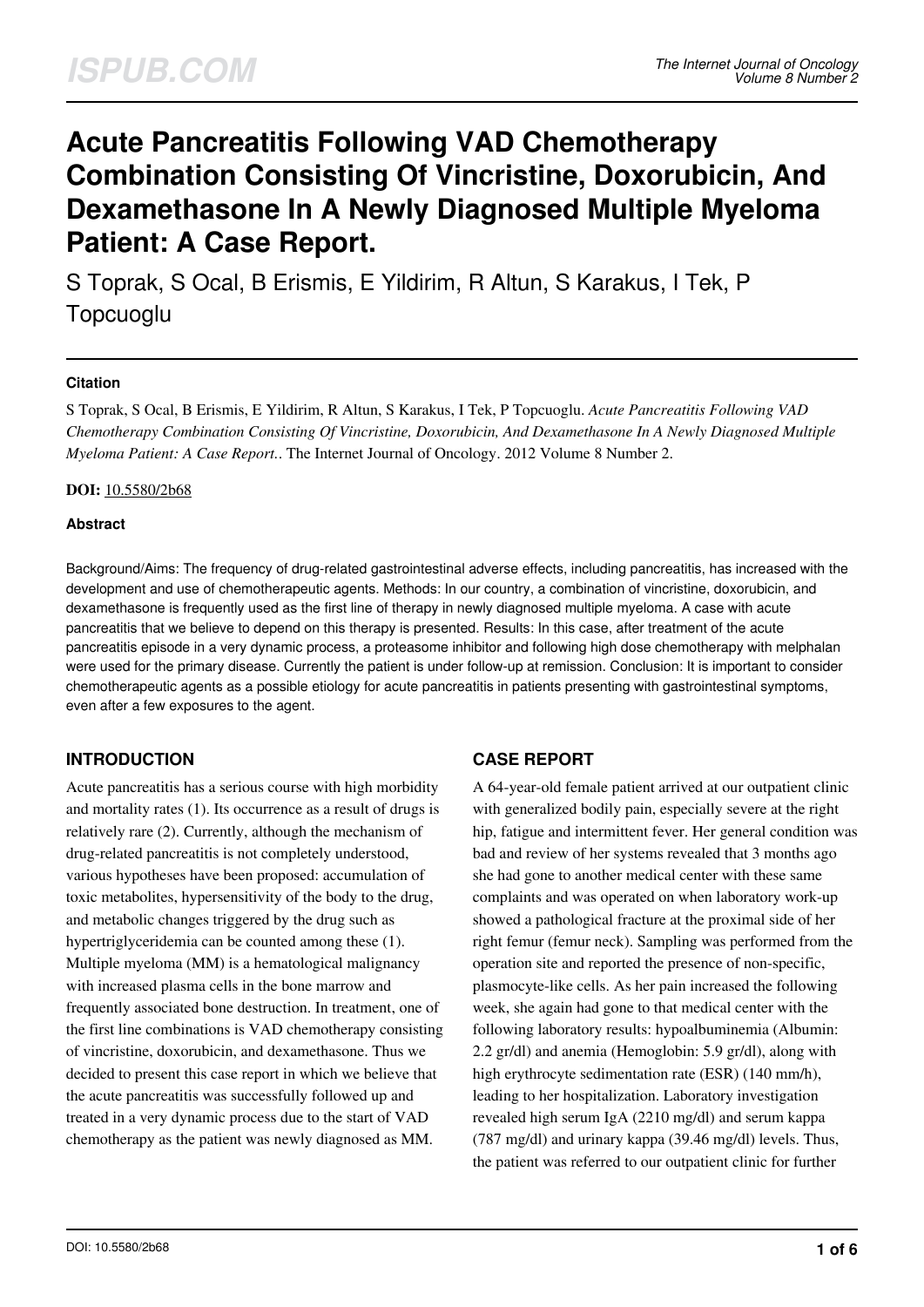# **Acute Pancreatitis Following VAD Chemotherapy Combination Consisting Of Vincristine, Doxorubicin, And Dexamethasone In A Newly Diagnosed Multiple Myeloma Patient: A Case Report.**

S Toprak, S Ocal, B Erismis, E Yildirim, R Altun, S Karakus, I Tek, P Topcuoglu

## **Citation**

S Toprak, S Ocal, B Erismis, E Yildirim, R Altun, S Karakus, I Tek, P Topcuoglu. *Acute Pancreatitis Following VAD Chemotherapy Combination Consisting Of Vincristine, Doxorubicin, And Dexamethasone In A Newly Diagnosed Multiple Myeloma Patient: A Case Report.*. The Internet Journal of Oncology. 2012 Volume 8 Number 2.

## **DOI:** [10.5580/2b68](https://ispub.com/doi/10.5580/2b68)

## **Abstract**

Background/Aims: The frequency of drug-related gastrointestinal adverse effects, including pancreatitis, has increased with the development and use of chemotherapeutic agents. Methods: In our country, a combination of vincristine, doxorubicin, and dexamethasone is frequently used as the first line of therapy in newly diagnosed multiple myeloma. A case with acute pancreatitis that we believe to depend on this therapy is presented. Results: In this case, after treatment of the acute pancreatitis episode in a very dynamic process, a proteasome inhibitor and following high dose chemotherapy with melphalan were used for the primary disease. Currently the patient is under follow-up at remission. Conclusion: It is important to consider chemotherapeutic agents as a possible etiology for acute pancreatitis in patients presenting with gastrointestinal symptoms, even after a few exposures to the agent.

## **INTRODUCTION**

Acute pancreatitis has a serious course with high morbidity and mortality rates (1). Its occurrence as a result of drugs is relatively rare (2). Currently, although the mechanism of drug-related pancreatitis is not completely understood, various hypotheses have been proposed: accumulation of toxic metabolites, hypersensitivity of the body to the drug, and metabolic changes triggered by the drug such as hypertriglyceridemia can be counted among these (1). Multiple myeloma (MM) is a hematological malignancy with increased plasma cells in the bone marrow and frequently associated bone destruction. In treatment, one of the first line combinations is VAD chemotherapy consisting of vincristine, doxorubicin, and dexamethasone. Thus we decided to present this case report in which we believe that the acute pancreatitis was successfully followed up and treated in a very dynamic process due to the start of VAD chemotherapy as the patient was newly diagnosed as MM.

## **CASE REPORT**

A 64-year-old female patient arrived at our outpatient clinic with generalized bodily pain, especially severe at the right hip, fatigue and intermittent fever. Her general condition was bad and review of her systems revealed that 3 months ago she had gone to another medical center with these same complaints and was operated on when laboratory work-up showed a pathological fracture at the proximal side of her right femur (femur neck). Sampling was performed from the operation site and reported the presence of non-specific, plasmocyte-like cells. As her pain increased the following week, she again had gone to that medical center with the following laboratory results: hypoalbuminemia (Albumin: 2.2 gr/dl) and anemia (Hemoglobin: 5.9 gr/dl), along with high erythrocyte sedimentation rate (ESR) (140 mm/h), leading to her hospitalization. Laboratory investigation revealed high serum IgA (2210 mg/dl) and serum kappa (787 mg/dl) and urinary kappa (39.46 mg/dl) levels. Thus, the patient was referred to our outpatient clinic for further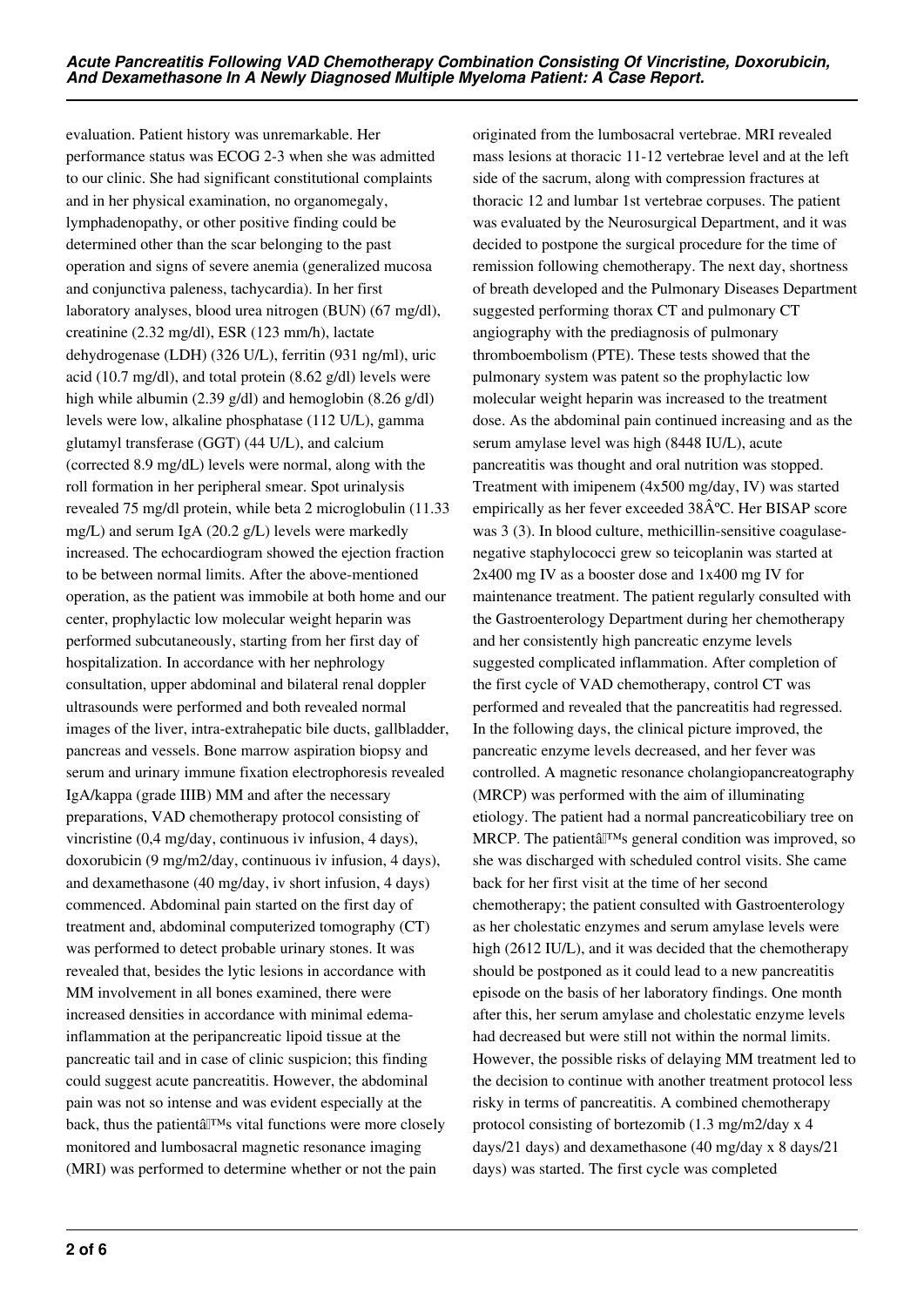evaluation. Patient history was unremarkable. Her performance status was ECOG 2-3 when she was admitted to our clinic. She had significant constitutional complaints and in her physical examination, no organomegaly, lymphadenopathy, or other positive finding could be determined other than the scar belonging to the past operation and signs of severe anemia (generalized mucosa and conjunctiva paleness, tachycardia). In her first laboratory analyses, blood urea nitrogen (BUN) (67 mg/dl), creatinine (2.32 mg/dl), ESR (123 mm/h), lactate dehydrogenase (LDH) (326 U/L), ferritin (931 ng/ml), uric acid (10.7 mg/dl), and total protein (8.62 g/dl) levels were high while albumin (2.39 g/dl) and hemoglobin (8.26 g/dl) levels were low, alkaline phosphatase (112 U/L), gamma glutamyl transferase (GGT) (44 U/L), and calcium (corrected 8.9 mg/dL) levels were normal, along with the roll formation in her peripheral smear. Spot urinalysis revealed 75 mg/dl protein, while beta 2 microglobulin (11.33 mg/L) and serum IgA (20.2 g/L) levels were markedly increased. The echocardiogram showed the ejection fraction to be between normal limits. After the above-mentioned operation, as the patient was immobile at both home and our center, prophylactic low molecular weight heparin was performed subcutaneously, starting from her first day of hospitalization. In accordance with her nephrology consultation, upper abdominal and bilateral renal doppler ultrasounds were performed and both revealed normal images of the liver, intra-extrahepatic bile ducts, gallbladder, pancreas and vessels. Bone marrow aspiration biopsy and serum and urinary immune fixation electrophoresis revealed IgA/kappa (grade IIIB) MM and after the necessary preparations, VAD chemotherapy protocol consisting of vincristine (0,4 mg/day, continuous iv infusion, 4 days), doxorubicin (9 mg/m2/day, continuous iv infusion, 4 days), and dexamethasone (40 mg/day, iv short infusion, 4 days) commenced. Abdominal pain started on the first day of treatment and, abdominal computerized tomography (CT) was performed to detect probable urinary stones. It was revealed that, besides the lytic lesions in accordance with MM involvement in all bones examined, there were increased densities in accordance with minimal edemainflammation at the peripancreatic lipoid tissue at the pancreatic tail and in case of clinic suspicion; this finding could suggest acute pancreatitis. However, the abdominal pain was not so intense and was evident especially at the back, thus the patient $\hat{a}$ <sup>TM</sup>s vital functions were more closely monitored and lumbosacral magnetic resonance imaging (MRI) was performed to determine whether or not the pain

originated from the lumbosacral vertebrae. MRI revealed mass lesions at thoracic 11-12 vertebrae level and at the left side of the sacrum, along with compression fractures at thoracic 12 and lumbar 1st vertebrae corpuses. The patient was evaluated by the Neurosurgical Department, and it was decided to postpone the surgical procedure for the time of remission following chemotherapy. The next day, shortness of breath developed and the Pulmonary Diseases Department suggested performing thorax CT and pulmonary CT angiography with the prediagnosis of pulmonary thromboembolism (PTE). These tests showed that the pulmonary system was patent so the prophylactic low molecular weight heparin was increased to the treatment dose. As the abdominal pain continued increasing and as the serum amylase level was high (8448 IU/L), acute pancreatitis was thought and oral nutrition was stopped. Treatment with imipenem (4x500 mg/day, IV) was started empirically as her fever exceeded  $38\hat{A}^{\circ}C$ . Her BISAP score was 3 (3). In blood culture, methicillin-sensitive coagulasenegative staphylococci grew so teicoplanin was started at 2x400 mg IV as a booster dose and 1x400 mg IV for maintenance treatment. The patient regularly consulted with the Gastroenterology Department during her chemotherapy and her consistently high pancreatic enzyme levels suggested complicated inflammation. After completion of the first cycle of VAD chemotherapy, control CT was performed and revealed that the pancreatitis had regressed. In the following days, the clinical picture improved, the pancreatic enzyme levels decreased, and her fever was controlled. A magnetic resonance cholangiopancreatography (MRCP) was performed with the aim of illuminating etiology. The patient had a normal pancreaticobiliary tree on MRCP. The patient $\hat{a}$ <sup>TM</sup>s general condition was improved, so she was discharged with scheduled control visits. She came back for her first visit at the time of her second chemotherapy; the patient consulted with Gastroenterology as her cholestatic enzymes and serum amylase levels were high (2612 IU/L), and it was decided that the chemotherapy should be postponed as it could lead to a new pancreatitis episode on the basis of her laboratory findings. One month after this, her serum amylase and cholestatic enzyme levels had decreased but were still not within the normal limits. However, the possible risks of delaying MM treatment led to the decision to continue with another treatment protocol less risky in terms of pancreatitis. A combined chemotherapy protocol consisting of bortezomib (1.3 mg/m2/day x 4 days/21 days) and dexamethasone (40 mg/day x 8 days/21 days) was started. The first cycle was completed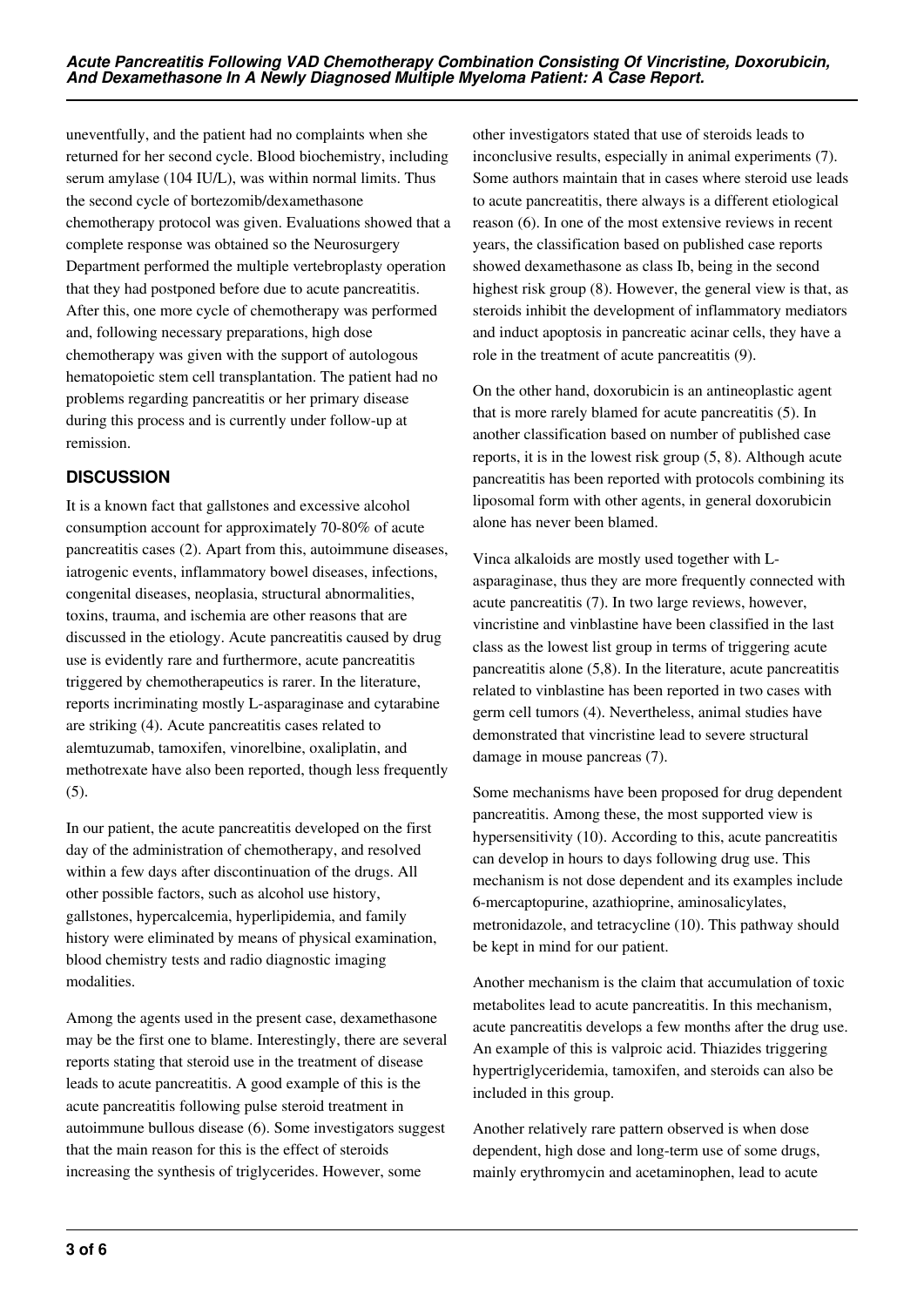uneventfully, and the patient had no complaints when she returned for her second cycle. Blood biochemistry, including serum amylase (104 IU/L), was within normal limits. Thus the second cycle of bortezomib/dexamethasone chemotherapy protocol was given. Evaluations showed that a complete response was obtained so the Neurosurgery Department performed the multiple vertebroplasty operation that they had postponed before due to acute pancreatitis. After this, one more cycle of chemotherapy was performed and, following necessary preparations, high dose chemotherapy was given with the support of autologous hematopoietic stem cell transplantation. The patient had no problems regarding pancreatitis or her primary disease during this process and is currently under follow-up at remission.

# **DISCUSSION**

It is a known fact that gallstones and excessive alcohol consumption account for approximately 70-80% of acute pancreatitis cases (2). Apart from this, autoimmune diseases, iatrogenic events, inflammatory bowel diseases, infections, congenital diseases, neoplasia, structural abnormalities, toxins, trauma, and ischemia are other reasons that are discussed in the etiology. Acute pancreatitis caused by drug use is evidently rare and furthermore, acute pancreatitis triggered by chemotherapeutics is rarer. In the literature, reports incriminating mostly L-asparaginase and cytarabine are striking (4). Acute pancreatitis cases related to alemtuzumab, tamoxifen, vinorelbine, oxaliplatin, and methotrexate have also been reported, though less frequently  $(5).$ 

In our patient, the acute pancreatitis developed on the first day of the administration of chemotherapy, and resolved within a few days after discontinuation of the drugs. All other possible factors, such as alcohol use history, gallstones, hypercalcemia, hyperlipidemia, and family history were eliminated by means of physical examination, blood chemistry tests and radio diagnostic imaging modalities.

Among the agents used in the present case, dexamethasone may be the first one to blame. Interestingly, there are several reports stating that steroid use in the treatment of disease leads to acute pancreatitis. A good example of this is the acute pancreatitis following pulse steroid treatment in autoimmune bullous disease (6). Some investigators suggest that the main reason for this is the effect of steroids increasing the synthesis of triglycerides. However, some

other investigators stated that use of steroids leads to inconclusive results, especially in animal experiments (7). Some authors maintain that in cases where steroid use leads to acute pancreatitis, there always is a different etiological reason (6). In one of the most extensive reviews in recent years, the classification based on published case reports showed dexamethasone as class Ib, being in the second highest risk group (8). However, the general view is that, as steroids inhibit the development of inflammatory mediators and induct apoptosis in pancreatic acinar cells, they have a role in the treatment of acute pancreatitis (9).

On the other hand, doxorubicin is an antineoplastic agent that is more rarely blamed for acute pancreatitis (5). In another classification based on number of published case reports, it is in the lowest risk group (5, 8). Although acute pancreatitis has been reported with protocols combining its liposomal form with other agents, in general doxorubicin alone has never been blamed.

Vinca alkaloids are mostly used together with Lasparaginase, thus they are more frequently connected with acute pancreatitis (7). In two large reviews, however, vincristine and vinblastine have been classified in the last class as the lowest list group in terms of triggering acute pancreatitis alone (5,8). In the literature, acute pancreatitis related to vinblastine has been reported in two cases with germ cell tumors (4). Nevertheless, animal studies have demonstrated that vincristine lead to severe structural damage in mouse pancreas (7).

Some mechanisms have been proposed for drug dependent pancreatitis. Among these, the most supported view is hypersensitivity (10). According to this, acute pancreatitis can develop in hours to days following drug use. This mechanism is not dose dependent and its examples include 6-mercaptopurine, azathioprine, aminosalicylates, metronidazole, and tetracycline (10). This pathway should be kept in mind for our patient.

Another mechanism is the claim that accumulation of toxic metabolites lead to acute pancreatitis. In this mechanism, acute pancreatitis develops a few months after the drug use. An example of this is valproic acid. Thiazides triggering hypertriglyceridemia, tamoxifen, and steroids can also be included in this group.

Another relatively rare pattern observed is when dose dependent, high dose and long-term use of some drugs, mainly erythromycin and acetaminophen, lead to acute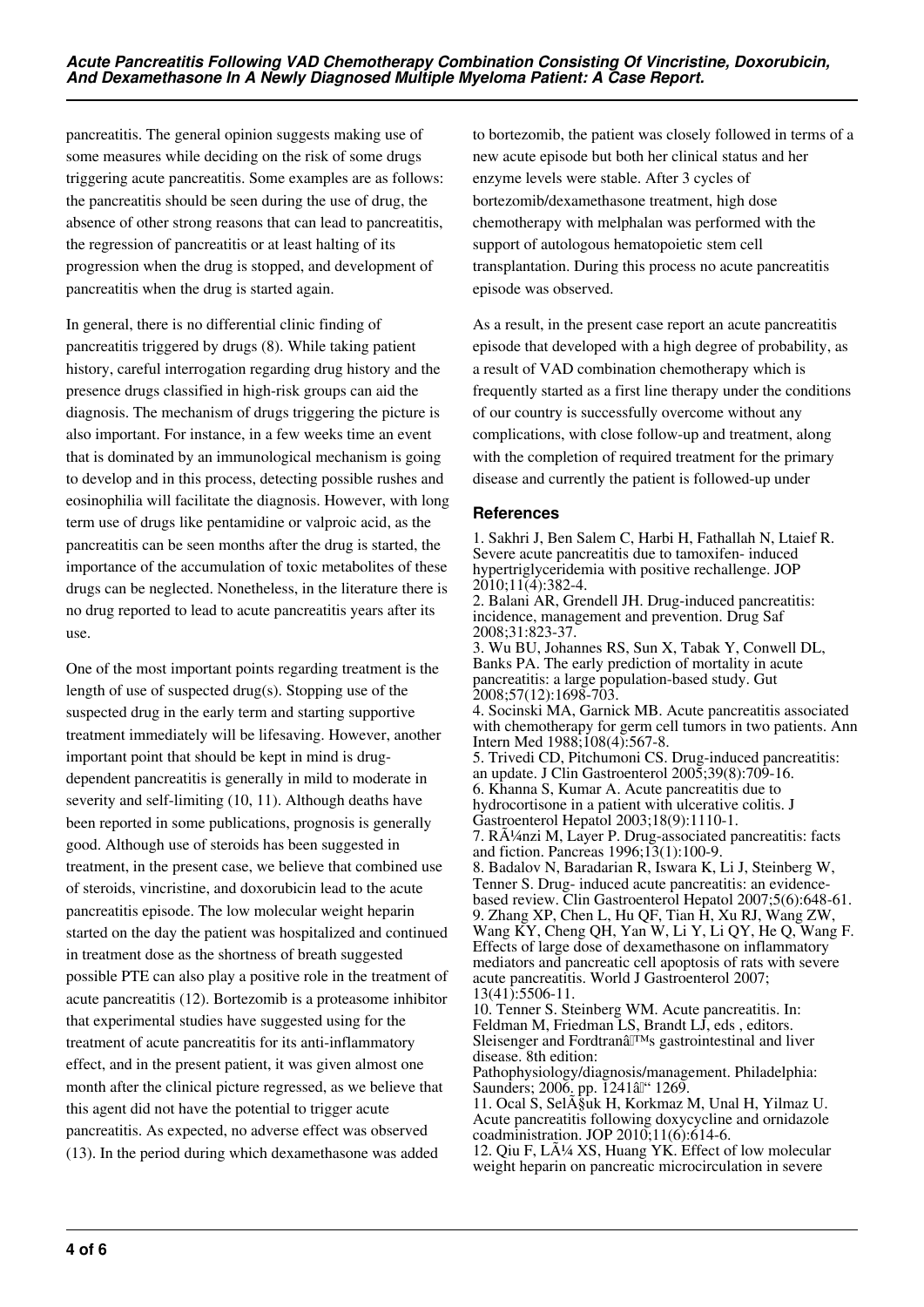pancreatitis. The general opinion suggests making use of some measures while deciding on the risk of some drugs triggering acute pancreatitis. Some examples are as follows: the pancreatitis should be seen during the use of drug, the absence of other strong reasons that can lead to pancreatitis, the regression of pancreatitis or at least halting of its progression when the drug is stopped, and development of pancreatitis when the drug is started again.

In general, there is no differential clinic finding of pancreatitis triggered by drugs (8). While taking patient history, careful interrogation regarding drug history and the presence drugs classified in high-risk groups can aid the diagnosis. The mechanism of drugs triggering the picture is also important. For instance, in a few weeks time an event that is dominated by an immunological mechanism is going to develop and in this process, detecting possible rushes and eosinophilia will facilitate the diagnosis. However, with long term use of drugs like pentamidine or valproic acid, as the pancreatitis can be seen months after the drug is started, the importance of the accumulation of toxic metabolites of these drugs can be neglected. Nonetheless, in the literature there is no drug reported to lead to acute pancreatitis years after its use.

One of the most important points regarding treatment is the length of use of suspected drug(s). Stopping use of the suspected drug in the early term and starting supportive treatment immediately will be lifesaving. However, another important point that should be kept in mind is drugdependent pancreatitis is generally in mild to moderate in severity and self-limiting (10, 11). Although deaths have been reported in some publications, prognosis is generally good. Although use of steroids has been suggested in treatment, in the present case, we believe that combined use of steroids, vincristine, and doxorubicin lead to the acute pancreatitis episode. The low molecular weight heparin started on the day the patient was hospitalized and continued in treatment dose as the shortness of breath suggested possible PTE can also play a positive role in the treatment of acute pancreatitis (12). Bortezomib is a proteasome inhibitor that experimental studies have suggested using for the treatment of acute pancreatitis for its anti-inflammatory effect, and in the present patient, it was given almost one month after the clinical picture regressed, as we believe that this agent did not have the potential to trigger acute pancreatitis. As expected, no adverse effect was observed (13). In the period during which dexamethasone was added

to bortezomib, the patient was closely followed in terms of a new acute episode but both her clinical status and her enzyme levels were stable. After 3 cycles of bortezomib/dexamethasone treatment, high dose chemotherapy with melphalan was performed with the support of autologous hematopoietic stem cell transplantation. During this process no acute pancreatitis episode was observed.

As a result, in the present case report an acute pancreatitis episode that developed with a high degree of probability, as a result of VAD combination chemotherapy which is frequently started as a first line therapy under the conditions of our country is successfully overcome without any complications, with close follow-up and treatment, along with the completion of required treatment for the primary disease and currently the patient is followed-up under

## **References**

1. Sakhri J, Ben Salem C, Harbi H, Fathallah N, Ltaief R. Severe acute pancreatitis due to tamoxifen- induced hypertriglyceridemia with positive rechallenge. JOP 2010;11(4):382-4.

2. Balani AR, Grendell JH. Drug-induced pancreatitis: incidence, management and prevention. Drug Saf 2008;31:823-37.

3. Wu BU, Johannes RS, Sun X, Tabak Y, Conwell DL, Banks PA. The early prediction of mortality in acute pancreatitis: a large population-based study. Gut 2008;57(12):1698-703.

4. Socinski MA, Garnick MB. Acute pancreatitis associated with chemotherapy for germ cell tumors in two patients. Ann Intern Med 1988;108(4):567-8.

5. Trivedi CD, Pitchumoni CS. Drug-induced pancreatitis: an update. J Clin Gastroenterol 2005;39(8):709-16. 6. Khanna S, Kumar A. Acute pancreatitis due to

hydrocortisone in a patient with ulcerative colitis. J Gastroenterol Hepatol 2003;18(9):1110-1.

7. RA¼nzi M, Layer P. Drug-associated pancreatitis: facts and fiction. Pancreas 1996;13(1):100-9.

8. Badalov N, Baradarian R, Iswara K, Li J, Steinberg W, Tenner S. Drug- induced acute pancreatitis: an evidencebased review. Clin Gastroenterol Hepatol 2007;5(6):648-61. 9. Zhang XP, Chen L, Hu QF, Tian H, Xu RJ, Wang ZW, Wang KY, Cheng QH, Yan W, Li Y, Li QY, He Q, Wang F. Effects of large dose of dexamethasone on inflammatory mediators and pancreatic cell apoptosis of rats with severe acute pancreatitis. World J Gastroenterol 2007; 13(41):5506-11.

10. Tenner S. Steinberg WM. Acute pancreatitis. In: Feldman M, Friedman LS, Brandt LJ, eds , editors. Sleisenger and Fordtranâl<sup>TM</sup>s gastrointestinal and liver disease. 8th edition:

Pathophysiology/diagnosis/management. Philadelphia: Saunders; 2006. pp. 1241 al '1269.

11. Ocal S, Sel $\tilde{A}$ §uk H, Korkmaz M, Unal H, Yilmaz U. Acute pancreatitis following doxycycline and ornidazole coadministration. JOP 2010;11(6):614-6.

12. Qiu F, Lü XS, Huang YK. Effect of low molecular weight heparin on pancreatic microcirculation in severe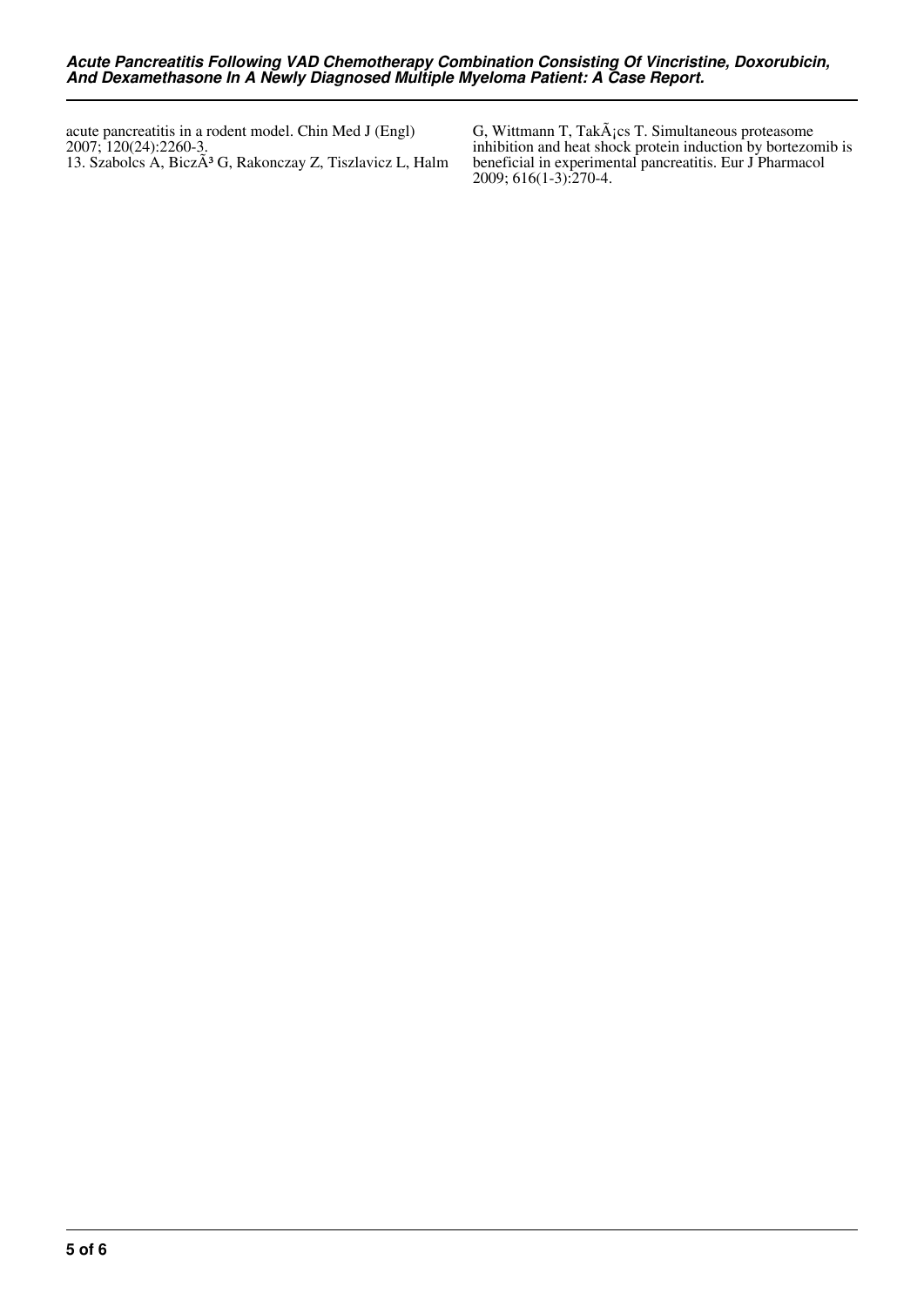acute pancreatitis in a rodent model. Chin Med J (Engl) 2007; 120(24):2260-3. 13. Szabolcs A, BiczÃ<sup>3</sup> G, Rakonczay Z, Tiszlavicz L, Halm

G, Wittmann T, Tak $\tilde{A}$ ; cs T. Simultaneous proteasome inhibition and heat shock protein induction by bortezomib is beneficial in experimental pancreatitis. Eur J Pharmacol 2009; 616(1-3):270-4.